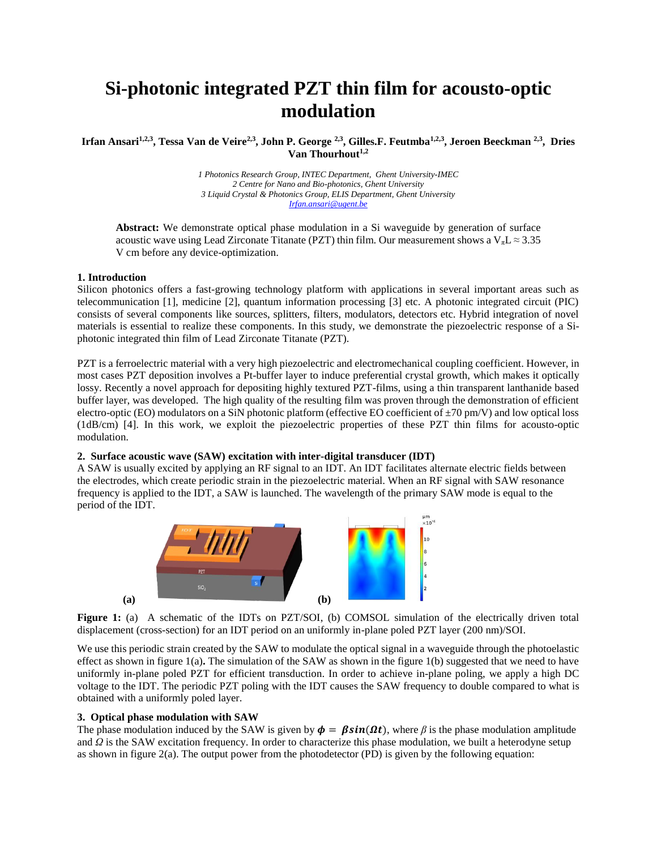# **Si-photonic integrated PZT thin film for acousto-optic modulation**

**Irfan Ansari1,2,3, Tessa Van de Veire2,3, John P. George 2,3, Gilles.F. Feutmba1,2,3, Jeroen Beeckman 2,3, Dries Van Thourhout1,2**

> *1 Photonics Research Group, INTEC Department, Ghent University-IMEC 2 Centre for Nano and Bio-photonics, Ghent University 3 Liquid Crystal & Photonics Group, ELIS Department, Ghent University [Irfan.ansari@ugent.be](mailto:Irfan.ansari@ugent.be)*

**Abstract:** We demonstrate optical phase modulation in a Si waveguide by generation of surface acoustic wave using Lead Zirconate Titanate (PZT) thin film. Our measurement shows a  $V_{\pi}L \approx 3.35$ V cm before any device-optimization.

## **1. Introduction**

Silicon photonics offers a fast-growing technology platform with applications in several important areas such as telecommunication [1], medicine [2], quantum information processing [3] etc. A photonic integrated circuit (PIC) consists of several components like sources, splitters, filters, modulators, detectors etc. Hybrid integration of novel materials is essential to realize these components. In this study, we demonstrate the piezoelectric response of a Siphotonic integrated thin film of Lead Zirconate Titanate (PZT).

PZT is a ferroelectric material with a very high piezoelectric and electromechanical coupling coefficient. However, in most cases PZT deposition involves a Pt-buffer layer to induce preferential crystal growth, which makes it optically lossy. Recently a novel approach for depositing highly textured PZT-films, using a thin transparent lanthanide based buffer layer, was developed. The high quality of the resulting film was proven through the demonstration of efficient electro-optic (EO) modulators on a SiN photonic platform (effective EO coefficient of  $\pm$ 70 pm/V) and low optical loss (1dB/cm) [4]. In this work, we exploit the piezoelectric properties of these PZT thin films for acousto-optic modulation.

# **2. Surface acoustic wave (SAW) excitation with inter-digital transducer (IDT)**

A SAW is usually excited by applying an RF signal to an IDT. An IDT facilitates alternate electric fields between the electrodes, which create periodic strain in the piezoelectric material. When an RF signal with SAW resonance frequency is applied to the IDT, a SAW is launched. The wavelength of the primary SAW mode is equal to the period of the IDT.



Figure 1: (a) A schematic of the IDTs on PZT/SOI, (b) COMSOL simulation of the electrically driven total displacement (cross-section) for an IDT period on an uniformly in-plane poled PZT layer (200 nm)/SOI.

We use this periodic strain created by the SAW to modulate the optical signal in a waveguide through the photoelastic effect as shown in figure 1(a)**.** The simulation of the SAW as shown in the figure 1(b) suggested that we need to have uniformly in-plane poled PZT for efficient transduction. In order to achieve in-plane poling, we apply a high DC voltage to the IDT. The periodic PZT poling with the IDT causes the SAW frequency to double compared to what is obtained with a uniformly poled layer.

#### **3. Optical phase modulation with SAW**

The phase modulation induced by the SAW is given by  $\phi = \beta \sin(\Omega t)$ , where  $\beta$  is the phase modulation amplitude and *Ω* is the SAW excitation frequency. In order to characterize this phase modulation, we built a heterodyne setup as shown in figure 2(a). The output power from the photodetector (PD) is given by the following equation: